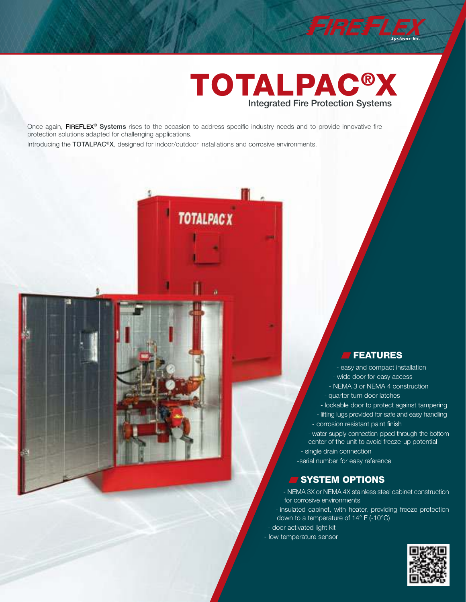

Once again, FIREFLEX® Systems rises to the occasion to address specific industry needs and to provide innovative fire protection solutions adapted for challenging applications.

**TOTALPACX** 

Introducing the TOTALPAC®X, designed for indoor/outdoor installations and corrosive environments.



FIREFLEX

- easy and compact installation - wide door for easy access - NEMA 3 or NEMA 4 construction - quarter turn door latches - lockable door to protect against tampering - lifting lugs provided for safe and easy handling - corrosion resistant paint finish

- water supply connection piped through the bottom center of the unit to avoid freeze-up potential - single drain connection

-serial number for easy reference

# SYSTEM OPTIONS

- NEMA 3X or NEMA 4X stainless steel cabinet construction for corrosive environments

- insulated cabinet, with heater, providing freeze protection down to a temperature of 14° F (-10°C)
- door activated light kit

- low temperature sensor

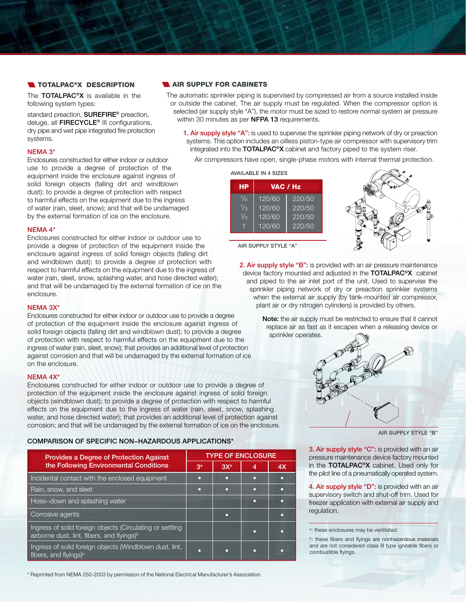## **TOTALPAC<sup>®</sup>X DESCRIPTION**

The TOTALPAC<sup>®</sup>X is available in the following system types:

standard preaction, **SUREFIRE<sup>®</sup>** preaction, deluge, all FIRECYCLE® III configurations, dry pipe and wet pipe integrated fire protection systems.

### NEMA 3\*

Enclosures constructed for either indoor or outdoor use to provide a degree of protection of the equipment inside the enclosure against ingress of solid foreign objects (falling dirt and windblown dust); to provide a degree of protection with respect to harmful effects on the equipment due to the ingress of water (rain, sleet, snow); and that will be undamaged by the external formation of ice on the enclosure.

### NEMA 4\*

Enclosures constructed for either indoor or outdoor use to provide a degree of protection of the equipment inside the enclosure against ingress of solid foreign objects (falling dirt and windblown dust); to provide a degree of protection with respect to harmful effects on the equipment due to the ingress of water (rain, sleet, snow, splashing water, and hose directed water); and that will be undamaged by the external formation of ice on the enclosure.

### NEMA 3X\*

Enclosures constructed for either indoor or outdoor use to provide a degree of protection of the equipment inside the enclosure against ingress of solid foreign objects (falling dirt and windblown dust); to provide a degree of protection with respect to harmful effects on the equipment due to the ingress of water (rain, sleet, snow); that provides an additional level of protection against corrosion and that will be undamaged by the external formation of ice on the enclosure.

### NEMA 4X\*

Enclosures constructed for either indoor or outdoor use to provide a degree of protection of the equipment inside the enclosure against ingress of solid foreign objects (windblown dust); to provide a degree of protection with respect to harmful effects on the equipment due to the ingress of water (rain, sleet, snow, splashing water, and hose directed water); that provides an additional level of protection against corrosion; and that will be undamaged by the external formation of ice on the enclosure.

### COMPARISON OF SPECIFIC NON−HAZARDOUS APPLICATIONS\*

| <b>Provides a Degree of Protection Against</b><br>the Following Environmental Conditions                            |  | <b>TYPE OF ENCLOSURE</b> |   |    |  |
|---------------------------------------------------------------------------------------------------------------------|--|--------------------------|---|----|--|
|                                                                                                                     |  | 3X <sup>a</sup>          | 4 | 4X |  |
| Incidental contact with the enclosed equipment                                                                      |  |                          |   |    |  |
| Rain, snow, and sleet                                                                                               |  |                          |   |    |  |
| Hose-down and splashing water                                                                                       |  |                          |   |    |  |
| Corrosive agents                                                                                                    |  | n                        |   |    |  |
| Ingress of solid foreign objects (Circulating or settling<br>airborne dust, lint, fibers, and flyings) <sup>b</sup> |  |                          |   |    |  |
| Ingress of solid foreign objects (Windblown dust, lint,<br>fibers, and flyings) <sup>b</sup>                        |  | г                        |   |    |  |

\* Reprinted from NEMA 250-2003 by permission of the National Electrical Manufacturer's Association.

## **AIR SUPPLY FOR CABINETS**

The automatic sprinkler piping is supervised by compressed air from a source installed inside or outside the cabinet. The air supply must be regulated. When the compressor option is selected (air supply style "A"), the motor must be sized to restore normal system air pressure within 30 minutes as per NFPA 13 requirements.

1. Air supply style "A": is used to supervise the sprinkler piping network of dry or preaction systems. This option includes an oilless piston-type air compressor with supervisory trim integrated into the TOTALPAC®X cabinet and factory piped to the system riser.

Air compressors have open, single-phase motors with internal thermal protection.

AVAILABLE IN 4 SIZES

| <b>HP</b>     | <b>VAC / Hz</b> |        |  |  |
|---------------|-----------------|--------|--|--|
| $\frac{1}{6}$ | 120/60          | 220/50 |  |  |
| $\frac{1}{3}$ | 120/60          | 220/50 |  |  |
| $\frac{1}{2}$ | 120/60          | 220/50 |  |  |
|               | 120/60          | 220/50 |  |  |
|               |                 |        |  |  |



AIR SUPPLY STYLE "A"

2. Air supply style "B": is provided with an air pressure maintenance device factory mounted and adjusted in the TOTALPAC®X cabinet and piped to the air inlet port of the unit. Used to supervise the sprinkler piping network of dry or preaction sprinkler systems when the external air supply (by tank-mounted air compressor, plant air or dry nitrogen cylinders) is provided by others.

> Note: the air supply must be restricted to ensure that it cannot replace air as fast as it escapes when a releasing device or sprinkler operates.



AIR SUPPLY STYLE "B"

**3. Air supply style "C":** is provided with an air pressure maintenance device factory mounted in the TOTALPAC®X cabinet. Used only for the pilot line of a pneumatically operated system.

4. Air supply style "D": is provided with an air supervisory switch and shut-off trim. Used for freezer application with external air supply and regulation.

#### a : these enclosures may be ventilated.

**b**: these fibers and flyings are nonhazardous materials and are not considered class III type ignitable fibers or combustible flyings.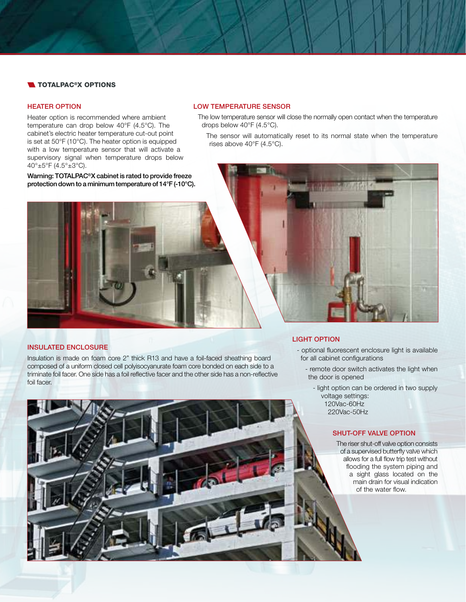# **TOTALPAC<sup>®</sup>X OPTIONS**

### HEATER OPTION

Heater option is recommended where ambient temperature can drop below 40°F (4.5°C). The cabinet's electric heater temperature cut-out point is set at 50°F (10°C). The heater option is equipped with a low temperature sensor that will activate a supervisory signal when temperature drops below 40°±5°F (4.5°±3°C).

Warning: TOTALPAC®X cabinet is rated to provide freeze protection down to a minimum temperature of 14°F (-10°C).

### LOW TEMPERATURE SENSOR

The low temperature sensor will close the normally open contact when the temperature drops below 40°F (4.5°C).

The sensor will automatically reset to its normal state when the temperature rises above 40°F (4.5°C).



Insulation is made on foam core 2" thick R13 and have a foil-faced sheathing board composed of a uniform closed cell polyisocyanurate foam core bonded on each side to a triminate foil facer. One side has a foil reflective facer and the other side has a non-reflective foil facer.

### LIGHT OPTION

- optional fluorescent enclosure light is available for all cabinet configurations

- remote door switch activates the light when the door is opened
- light option can be ordered in two supply voltage settings: 120Vac-60Hz 220Vac-50Hz

### SHUT-OFF VALVE OPTION

The riser shut-off valve option consists of a supervised butterfly valve which allows for a full flow trip test without flooding the system piping and a sight glass located on the main drain for visual indication of the water flow.